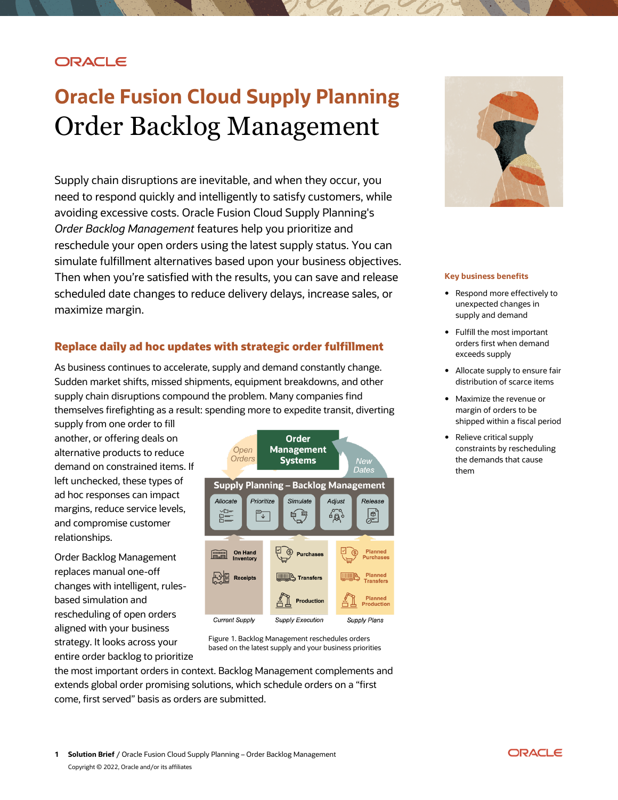### **ORACLE**

# **Oracle Fusion Cloud Supply Planning**  Order Backlog Management

Supply chain disruptions are inevitable, and when they occur, you need to respond quickly and intelligently to satisfy customers, while avoiding excessive costs. Oracle Fusion Cloud Supply Planning's *Order Backlog Management* features help you prioritize and reschedule your open orders using the latest supply status. You can simulate fulfillment alternatives based upon your business objectives. Then when you're satisfied with the results, you can save and release scheduled date changes to reduce delivery delays, increase sales, or maximize margin.

#### **Replace daily ad hoc updates with strategic order fulfillment**

 As business continues to accelerate, supply and demand constantly change. Sudden market shifts, missed shipments, equipment breakdowns, and other supply chain disruptions compound the problem. Many companies find themselves firefighting as a result: spending more to expedite transit, diverting

 supply from one order to fill another, or offering deals on alternative products to reduce demand on constrained items. If ad hoc responses can impact margins, reduce service levels, and compromise customer left unchecked, these types of relationships.

 changes with intelligent, rules- rescheduling of open orders aligned with your business strategy. It looks across your entire order backlog to prioritize Order Backlog Management replaces manual one-off based simulation and



Figure 1. Backlog Management reschedules orders based on the latest supply and your business priorities

 the most important orders in context. Backlog Management complements and come, first served" basis as orders are submitted. extends global order promising solutions, which schedule orders on a "first



#### **Key business benefits**

- • Respond more effectively to supply and demand unexpected changes in
- • Fulfill the most important orders first when demand exceeds supply
- • Allocate supply to ensure fair distribution of scarce items
- • Maximize the revenue or margin of orders to be shipped within a fiscal period
- • Relieve critical supply the demands that cause constraints by rescheduling them

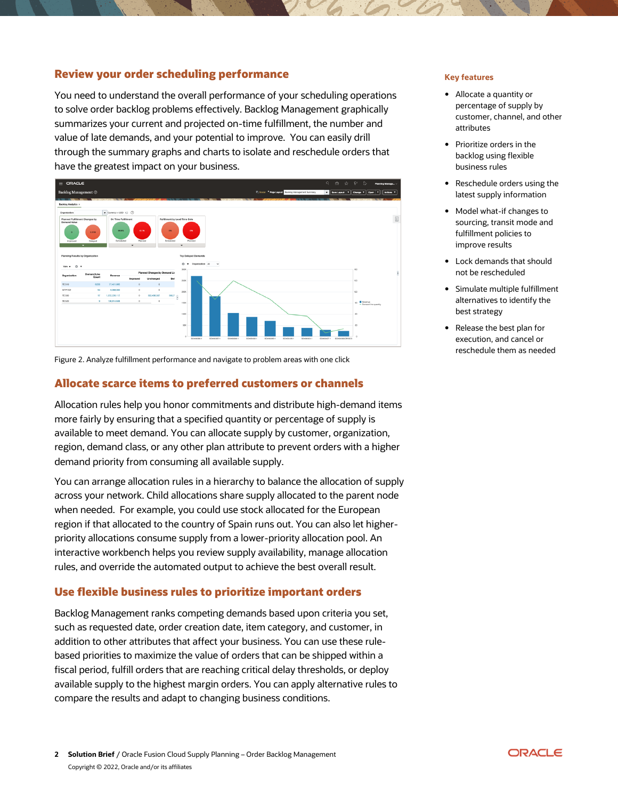#### **Review your order scheduling performance** *Key features Key features*

 You need to understand the overall performance of your scheduling operations to solve order backlog problems effectively. Backlog Management graphically summarizes your current and projected on-time fulfillment, the number and value of late demands, and your potential to improve. You can easily drill through the summary graphs and charts to isolate and reschedule orders that have the greatest impact on your business.



Figure 2. Analyze fulfillment performance and navigate to problem areas with one click

#### **Allocate scarce items to preferred customers or channels**

 Allocation rules help you honor commitments and distribute high-demand items more fairly by ensuring that a specified quantity or percentage of supply is available to meet demand. You can allocate supply by customer, organization, region, demand class, or any other plan attribute to prevent orders with a higher demand priority from consuming all available supply.

 You can arrange allocation rules in a hierarchy to balance the allocation of supply across your network. Child allocations share supply allocated to the parent node when needed. For example, you could use stock allocated for the European region if that allocated to the country of Spain runs out. You can also let higher- priority allocations consume supply from a lower-priority allocation pool. An rules, and override the automated output to achieve the best overall result. interactive workbench helps you review supply availability, manage allocation

#### **Use flexible business rules to prioritize important orders**

 Backlog Management ranks competing demands based upon criteria you set, such as requested date, order creation date, item category, and customer, in addition to other attributes that affect your business. You can use these rule- based priorities to maximize the value of orders that can be shipped within a fiscal period, fulfill orders that are reaching critical delay thresholds, or deploy available supply to the highest margin orders. You can apply alternative rules to compare the results and adapt to changing business conditions.

- • Allocate a quantity or percentage of supply by customer, channel, and other attributes
- • Prioritize orders in the backlog using flexible business rules
- • Reschedule orders using the latest supply information
- sourcing, transit mode and fulfillment policies to • Model what-if changes to improve results
- • Lock demands that should not be rescheduled
- alternatives to identify the • Simulate multiple fulfillment best strategy
- • Release the best plan for execution, and cancel or reschedule them as needed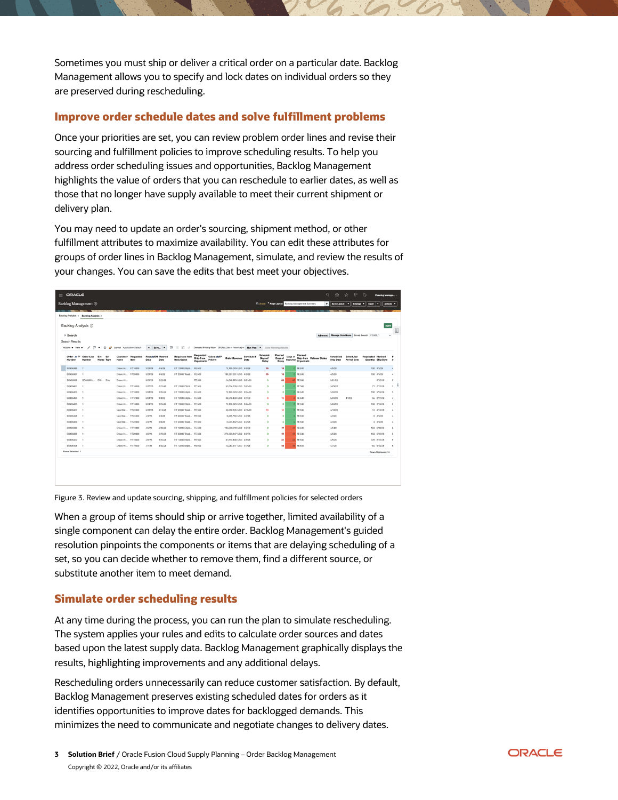Sometimes you must ship or deliver a critical order on a particular date. Backlog Management allows you to specify and lock dates on individual orders so they are preserved during rescheduling.

#### **Improve order schedule dates and solve fulfillment problems**

 Once your priorities are set, you can review problem order lines and revise their sourcing and fulfillment policies to improve scheduling results. To help you address order scheduling issues and opportunities, Backlog Management highlights the value of orders that you can reschedule to earlier dates, as well as those that no longer have supply available to meet their current shipment or delivery plan.

 You may need to update an order's sourcing, shipment method, or other fulfillment attributes to maximize availability. You can edit these attributes for groups of order lines in Backlog Management, simulate, and review the results of your changes. You can save the edits that best meet your objectives.

| $\equiv$ ORACLE                                                                                                                                                                     |                                 |                                             |                              |         |                                      |                                                                   |                        |                          |                              |                                                                    | Q                                                  | 命                      | $\sim$<br><b>Y</b>                               | $\triangleright$            | Planning Manage    |               |
|-------------------------------------------------------------------------------------------------------------------------------------------------------------------------------------|---------------------------------|---------------------------------------------|------------------------------|---------|--------------------------------------|-------------------------------------------------------------------|------------------------|--------------------------|------------------------------|--------------------------------------------------------------------|----------------------------------------------------|------------------------|--------------------------------------------------|-----------------------------|--------------------|---------------|
| <b>Backlog Management</b> 2                                                                                                                                                         |                                 |                                             |                              |         |                                      |                                                                   |                        |                          |                              | <b>F</b> Scota <sup>*</sup> Page Layout Backlog Management Summary |                                                    | Seve Layout   v        |                                                  | Change <b>v</b>    Open   v | Actions <b>v</b>   |               |
|                                                                                                                                                                                     |                                 |                                             |                              |         |                                      |                                                                   |                        |                          |                              |                                                                    |                                                    |                        |                                                  |                             |                    |               |
| Backlog Analytics x Backlog Analysis x                                                                                                                                              |                                 |                                             |                              |         |                                      |                                                                   |                        |                          |                              |                                                                    |                                                    |                        |                                                  |                             |                    |               |
| Backlog Analysis 2                                                                                                                                                                  |                                 |                                             |                              |         |                                      |                                                                   |                        |                          |                              |                                                                    |                                                    |                        |                                                  |                             | Done               | 目             |
| > Search                                                                                                                                                                            |                                 |                                             |                              |         |                                      |                                                                   |                        |                          |                              |                                                                    |                                                    |                        | Advanced Manage Conditions Saved Search FE:500_1 |                             | $\checkmark$       |               |
| Search Results                                                                                                                                                                      |                                 |                                             |                              |         |                                      |                                                                   |                        |                          |                              |                                                                    |                                                    |                        |                                                  |                             |                    |               |
| / □ ▼ © / Leyout Application Default<br>辟<br>Demand Priority Rule DP(Reg Date + Reverse) v   Run Plan   v   Save Planning Results<br>Actions = View =<br>$v$ Save $v$<br>ю.<br>$-1$ |                                 |                                             |                              |         |                                      |                                                                   |                        |                          |                              |                                                                    |                                                    |                        |                                                  |                             |                    |               |
| Order A<br>÷<br>Order Line<br>Number<br>Munsha                                                                                                                                      | <b>Name</b><br><b>Kame Type</b> | Requested<br><b>Customer</b><br><b>Herm</b> | Required Fit Planned<br>Date | Date    | <b>Requested Item</b><br>Description | Requested<br>Calculated?<br>Ship-from<br>Priority<br>Organization | <b>Order Revenue</b>   | <b>Scheduled</b><br>Date | Schedule<br>Days of<br>Delay | Planned<br>Days of<br>Days of<br>Improver<br>Delay                 | Planned<br>Ship-from Release Status<br>Organizatio | Scheduled<br>Ship Date | Scheduled<br><b>Arrival Date</b>                 | <b>Requested Planned</b>    | Quantity Ship Date |               |
| SO#06385                                                                                                                                                                            |                                 | Drisco Hi FIT10000                          | 3/21/28                      | 4/5/28  | FIT 10000 Ellioti FE:500             |                                                                   | 70.139.079 USD 4/5/28  |                          | 15                           | 15                                                                 | FE:500                                             | 4/5/28                 |                                                  |                             | 100 4/5/28         |               |
| SO#06387                                                                                                                                                                            |                                 | Drisco H., FIT20000                         | 3/21/28                      | 4/5/28  | FIT 20000 Tread FE:500               |                                                                   | 180,357,631 USD 4/5/28 |                          | 15                           | 15                                                                 | FE:500                                             | 4/5/28                 |                                                  |                             | 100 4/5/28         |               |
| SO#05399  DRL Ship<br>SO#05399                                                                                                                                                      |                                 | Drisco H                                    | 3/21/28                      | 5/22/28 |                                      | FE:500                                                            | 24,648,876 USD 3/21/28 |                          | $\circ$                      | 62<br>40                                                           | FE:500                                             | 3/21/28                |                                                  |                             | 5/22/28            |               |
| SO#05401                                                                                                                                                                            |                                 | Drisco Hi FIT10000                          | 3/23/28                      | 3/23/28 | FIT 10000 Ellioti FE:500             |                                                                   | 52,604,309 USD 3/23/28 |                          | $\theta$                     | $\circ$                                                            | 0 FE:500                                           | 3/23/28                |                                                  |                             | 75 3/23/28         | $\mathcal{R}$ |
| SO#06403                                                                                                                                                                            |                                 | Drisco Hi FIT10000                          | 3/24/28                      | 3/24/28 | FIT 10000 Ellipti FE:500             |                                                                   | 70,139,079 USD 3/24/28 |                          | $\alpha$                     | $\circ$                                                            | <b>FE:500</b>                                      | 3/24/28                |                                                  |                             | 100 3/24/28        | $\alpha$      |
| SO#05454                                                                                                                                                                            |                                 | Drisco Hi FIT12000                          | 3/24/28                      | 4/3/28  | FIT 12000 Ellipti FE:500             |                                                                   | 38,576,493 USD 4/1/28  |                          |                              | 10 <sub>1</sub>                                                    | <b>FE:500</b>                                      | 3/24/28                | 4/1/28                                           |                             | 55 3/27/28         | ×             |
| SO#05405                                                                                                                                                                            |                                 | Drisco Hi FIT10000                          | 3/24/28                      | 3/24/28 | FIT 10000 Elipti FE:500              |                                                                   | 70,139,079 USD 3/24/28 |                          | $\circ$                      | $\circ$                                                            | <b>FE:500</b>                                      | 3/24/28                |                                                  |                             | 100 3/24/28        | 3             |
| SO#06407                                                                                                                                                                            |                                 | New Star FIT23000                           | 3/31/28                      | 4/10/28 | FIT 23000 Tread FE:500               |                                                                   | 30,059,605 USD 4/10/28 |                          | 10                           | 10                                                                 | FE:500                                             | 4/10/28                |                                                  |                             | 10 4/10/28         | A             |
| SO#05408<br>- 1                                                                                                                                                                     |                                 | New Star FIT23000                           | 4/3/28                       | 4/3/28  | FIT 23000 Tread FE:500               |                                                                   | 18.035.763 USD 4/3/28  |                          | $\alpha$                     | $\circ$                                                            | FE:500                                             | 4/3/28                 |                                                  |                             | 6 4 3/28           |               |
| SO#05409<br>٠                                                                                                                                                                       |                                 | New Star FIT23000                           | 4/3/28                       | 4/3/28  | FIT 23000 Tread FE:500               |                                                                   | 12,023.842 USD 4/3/28  |                          | $\circ$                      | $\circ$                                                            | $0$ FE:500                                         | 4/3/28                 |                                                  |                             | 4 4/3/28           |               |
| SO#05386                                                                                                                                                                            |                                 | Drisco H., FIT10000                         | 4/5/28                       | 5/22/28 | FIT 10000 Ellioti FE:500             |                                                                   | 105,208,618 USD 4/5/28 |                          | $\circ$                      | 47                                                                 | $-47$ FE:500                                       | 4/5/28                 |                                                  |                             | 150 5/22/28        |               |
| SO#06388                                                                                                                                                                            |                                 | Drisco Hi FIT20000                          | 4/5/28                       | 5/22/28 | FIT 20000 Tread FE:500               |                                                                   | 270.536.447 USD 4/5/28 |                          | $\circ$                      | 47                                                                 | 47 FE500                                           | 4/5/28                 |                                                  |                             | 150 5/22/28        | s             |
| SO#05402                                                                                                                                                                            |                                 | Drisco Hi FIT10000                          | 4/5/28                       | 5/22/28 | FIT 10000 Ellipti FE:500             |                                                                   | 87,673,848 USD 4/5/28  |                          | $\alpha$                     | 47<br>$-17$                                                        | FE:500                                             | 4/5/28                 |                                                  |                             | 125 5/22/28        |               |
| 50#05406<br>٠                                                                                                                                                                       |                                 | Drisco Hi FIT10000                          | 4/7/28                       | 5/22/28 | FIT 10000 Elipti FE:500              |                                                                   | 42,083,447 USD 4/7/28  |                          | $\circ$                      | 45<br>45                                                           | <b>FE:500</b>                                      | 4/7/28                 |                                                  |                             | 60 5/22/28         |               |
| Rows Selected 1                                                                                                                                                                     |                                 |                                             |                              |         |                                      |                                                                   |                        |                          |                              |                                                                    |                                                    |                        |                                                  |                             | Rows Retrieved: 14 |               |
|                                                                                                                                                                                     |                                 |                                             |                              |         |                                      |                                                                   |                        |                          |                              |                                                                    |                                                    |                        |                                                  |                             |                    |               |

Figure 3. Review and update sourcing, shipping, and fulfillment policies for selected orders

 When a group of items should ship or arrive together, limited availability of a single component can delay the entire order. Backlog Management's guided resolution pinpoints the components or items that are delaying scheduling of a set, so you can decide whether to remove them, find a different source, or substitute another item to meet demand.

#### **Simulate order scheduling results**

 At any time during the process, you can run the plan to simulate rescheduling. The system applies your rules and edits to calculate order sources and dates based upon the latest supply data. Backlog Management graphically displays the results, highlighting improvements and any additional delays.

 Rescheduling orders unnecessarily can reduce customer satisfaction. By default, Backlog Management preserves existing scheduled dates for orders as it identifies opportunities to improve dates for backlogged demands. This minimizes the need to communicate and negotiate changes to delivery dates.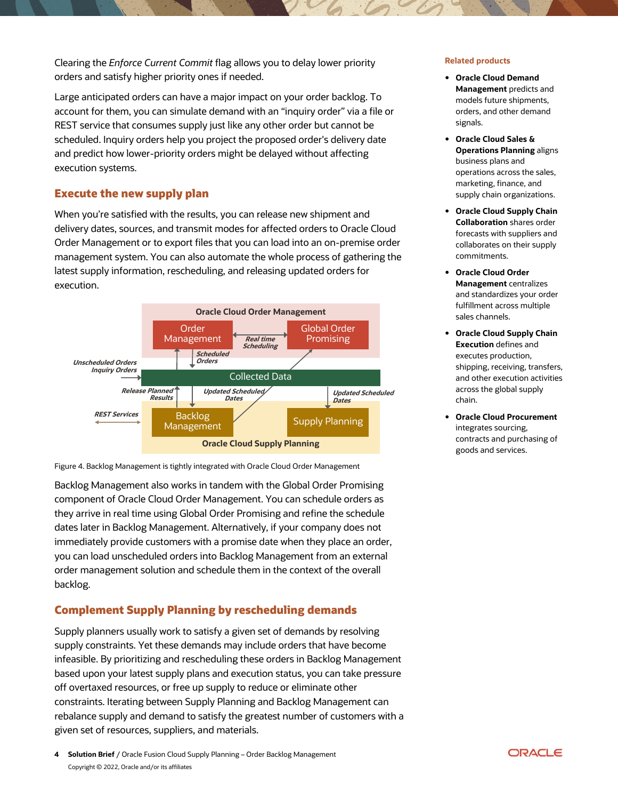Clearing the *Enforce Current Commit* flag allows you to delay lower priority **Related products**  orders and satisfy higher priority ones if needed.

 Large anticipated orders can have a major impact on your order backlog. To account for them, you can simulate demand with an "inquiry order" via a file or REST service that consumes supply just like any other order but cannot be scheduled. Inquiry orders help you project the proposed order's delivery date and predict how lower-priority orders might be delayed without affecting execution systems.

#### **Execute the new supply plan**

 When you're satisfied with the results, you can release new shipment and delivery dates, sources, and transmit modes for affected orders to Oracle Cloud Order Management or to export files that you can load into an on-premise order management system. You can also automate the whole process of gathering the latest supply information, rescheduling, and releasing updated orders for execution.



Figure 4. Backlog Management is tightly integrated with Oracle Cloud Order Management

 Backlog Management also works in tandem with the Global Order Promising component of Oracle Cloud Order Management. You can schedule orders as they arrive in real time using Global Order Promising and refine the schedule dates later in Backlog Management. Alternatively, if your company does not you can load unscheduled orders into Backlog Management from an external order management solution and schedule them in the context of the overall immediately provide customers with a promise date when they place an order, backlog.

#### **Complement Supply Planning by rescheduling demands**

 Supply planners usually work to satisfy a given set of demands by resolving supply constraints. Yet these demands may include orders that have become infeasible. By prioritizing and rescheduling these orders in Backlog Management based upon your latest supply plans and execution status, you can take pressure off overtaxed resources, or free up supply to reduce or eliminate other constraints. Iterating between Supply Planning and Backlog Management can rebalance supply and demand to satisfy the greatest number of customers with a given set of resources, suppliers, and materials.

## • **Oracle Cloud Demand**

- models future shipments, orders, and other demand **Management** predicts and signals.
- **Oracle Cloud Sales &**  business plans and operations across the sales, supply chain organizations. **Operations Planning** aligns marketing, finance, and
- **Oracle Cloud Supply Chain**  forecasts with suppliers and collaborates on their supply **Collaboration** shares order commitments.
- **Oracle Cloud Order**  and standardizes your order fulfillment across multiple **Management** centralizes sales channels.
- **Oracle Cloud Supply Chain**  shipping, receiving, transfers, and other execution activities across the global supply **Execution** defines and executes production, chain.
- **Oracle Cloud Procurement**  contracts and purchasing of integrates sourcing, goods and services.